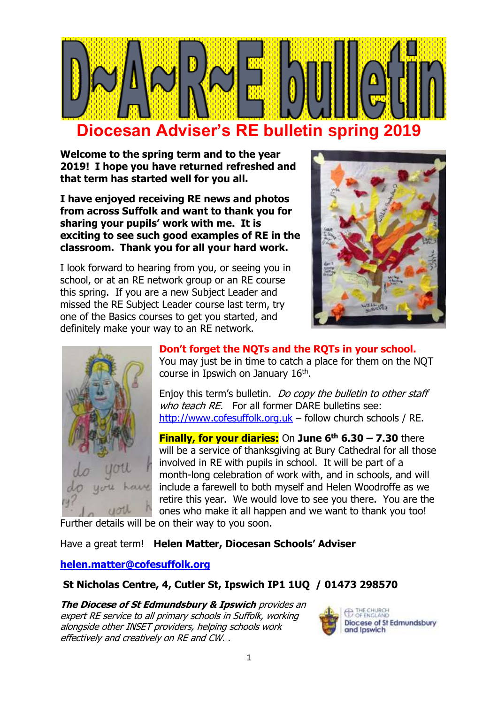

**Welcome to the spring term and to the year 2019! I hope you have returned refreshed and that term has started well for you all.**

**I have enjoyed receiving RE news and photos from across Suffolk and want to thank you for sharing your pupils' work with me. It is exciting to see such good examples of RE in the classroom. Thank you for all your hard work.** 

I look forward to hearing from you, or seeing you in school, or at an RE network group or an RE course this spring. If you are a new Subject Leader and missed the RE Subject Leader course last term, try one of the Basics courses to get you started, and definitely make your way to an RE network.





**Don't forget the NQTs and the RQTs in your school.** You may just be in time to catch a place for them on the NQT course in Ipswich on January 16<sup>th</sup>.

Enjoy this term's bulletin. Do copy the bulletin to other staff who teach RE. For all former DARE bulletins see: [http://www.cofesuffolk.org.uk](http://www.cofesuffolk.org.uk/) – follow church schools / RE.

**Finally, for your diaries:** On **June 6th 6.30 – 7.30** there will be a service of thanksgiving at Bury Cathedral for all those involved in RE with pupils in school. It will be part of a month-long celebration of work with, and in schools, and will include a farewell to both myself and Helen Woodroffe as we retire this year. We would love to see you there. You are the ones who make it all happen and we want to thank you too!

Further details will be on their way to you soon.

Have a great term! **Helen Matter, Diocesan Schools' Adviser**

#### **[helen.matter@cofesuffolk.org](mailto:helen.matter@cofesuffolk.org)**

#### **St Nicholas Centre, 4, Cutler St, Ipswich IP1 1UQ / 01473 298570**

**The Diocese of St Edmundsbury & Ipswich** provides an expert RE service to all primary schools in Suffolk, working alongside other INSET providers, helping schools work effectively and creatively on RE and CW. .

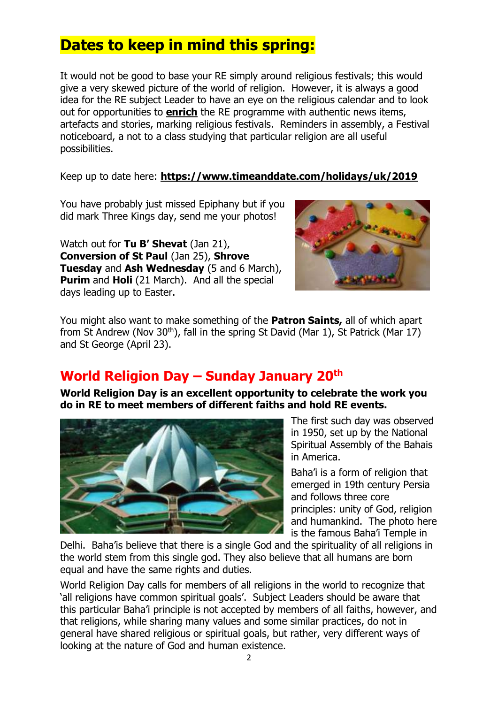# **Dates to keep in mind this spring:**

It would not be good to base your RE simply around religious festivals; this would give a very skewed picture of the world of religion. However, it is always a good idea for the RE subject Leader to have an eye on the religious calendar and to look out for opportunities to **enrich** the RE programme with authentic news items, artefacts and stories, marking religious festivals. Reminders in assembly, a Festival noticeboard, a not to a class studying that particular religion are all useful possibilities.

Keep up to date here: **<https://www.timeanddate.com/holidays/uk/2019>**

You have probably just missed Epiphany but if you did mark Three Kings day, send me your photos!

Watch out for **Tu B' Shevat** (Jan 21), **Conversion of St Paul** (Jan 25), **Shrove Tuesday** and **Ash Wednesday** (5 and 6 March), **Purim and Holi** (21 March). And all the special days leading up to Easter.



You might also want to make something of the **Patron Saints,** all of which apart from St Andrew (Nov  $30<sup>th</sup>$ ), fall in the spring St David (Mar 1), St Patrick (Mar 17) and St George (April 23).

### **World Religion Day – Sunday January 20th**

**World Religion Day is an excellent opportunity to celebrate the work you do in RE to meet members of different faiths and hold RE events.** 



The first such day was observed in 1950, set up by the National Spiritual Assembly of the Bahais in America.

Baha'i is a form of religion that emerged in 19th century Persia and follows three core principles: unity of God, religion and humankind. The photo here is the famous Baha'i Temple in

Delhi. Baha'is believe that there is a single God and the spirituality of all religions in the world stem from this single god. They also believe that all humans are born equal and have the same rights and duties.

World Religion Day calls for members of all religions in the world to recognize that 'all religions have common spiritual goals'. Subject Leaders should be aware that this particular Baha'i principle is not accepted by members of all faiths, however, and that religions, while sharing many values and some similar practices, do not in general have shared religious or spiritual goals, but rather, very different ways of looking at the nature of God and human existence.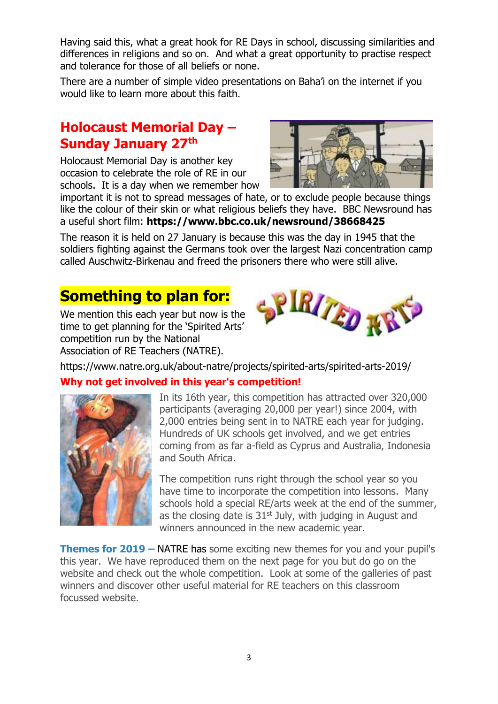Having said this, what a great hook for RE Days in school, discussing similarities and differences in religions and so on. And what a great opportunity to practise respect and tolerance for those of all beliefs or none.

There are a number of simple video presentations on Baha'i on the internet if you would like to learn more about this faith.

### **Holocaust Memorial Day – Sunday January 27th**

Holocaust Memorial Day is another key occasion to celebrate the role of RE in our schools. It is a day when we remember how



important it is not to spread messages of hate, or to exclude people because things like the colour of their skin or what religious beliefs they have. BBC Newsround has a useful short film: **https://www.bbc.co.uk/newsround/38668425**

The reason it is held on 27 January is because this was the day in 1945 that the soldiers fighting against the Germans took over the largest Nazi concentration camp called Auschwitz-Birkenau and freed the prisoners there who were still alive.

# **Something to plan for:**

We mention this each year but now is the time to get planning for the 'Spirited Arts' competition run by the National Association of RE Teachers (NATRE).



https://www.natre.org.uk/about-natre/projects/spirited-arts/spirited-arts-2019/

#### **Why not get involved in this year's competition!**



In its 16th year, this competition has attracted over 320,000 participants (averaging 20,000 per year!) since 2004, with 2,000 entries being sent in to NATRE each year for judging. Hundreds of UK schools get involved, and we get entries coming from as far a-field as Cyprus and Australia, Indonesia and South Africa.

The competition runs right through the school year so you have time to incorporate the competition into lessons. Many schools hold a special RE/arts week at the end of the summer, as the closing date is  $31<sup>st</sup>$  July, with judging in August and winners announced in the new academic year.

**Themes for 2019 –** NATRE has some exciting new themes for you and your pupil's this year. We have reproduced them on the next page for you but do go on the website and check out the whole competition. Look at some of the galleries of past winners and discover other useful material for RE teachers on this classroom focussed website.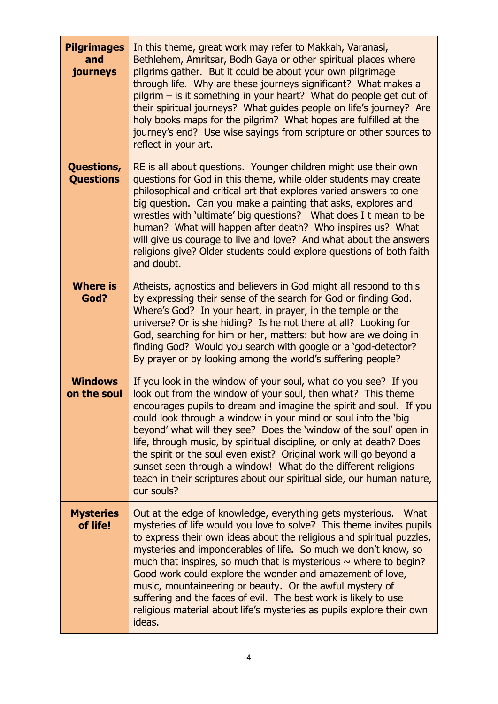| <b>Pilgrimages</b><br>and<br>journeys | In this theme, great work may refer to Makkah, Varanasi,<br>Bethlehem, Amritsar, Bodh Gaya or other spiritual places where<br>pilgrims gather. But it could be about your own pilgrimage<br>through life. Why are these journeys significant? What makes a<br>pilgrim – is it something in your heart? What do people get out of<br>their spiritual journeys? What guides people on life's journey? Are<br>holy books maps for the pilgrim? What hopes are fulfilled at the<br>journey's end? Use wise sayings from scripture or other sources to<br>reflect in your art.                                                                         |
|---------------------------------------|---------------------------------------------------------------------------------------------------------------------------------------------------------------------------------------------------------------------------------------------------------------------------------------------------------------------------------------------------------------------------------------------------------------------------------------------------------------------------------------------------------------------------------------------------------------------------------------------------------------------------------------------------|
| Questions,<br><b>Questions</b>        | RE is all about questions. Younger children might use their own<br>questions for God in this theme, while older students may create<br>philosophical and critical art that explores varied answers to one<br>big question. Can you make a painting that asks, explores and<br>wrestles with 'ultimate' big questions? What does I t mean to be<br>human? What will happen after death? Who inspires us? What<br>will give us courage to live and love? And what about the answers<br>religions give? Older students could explore questions of both faith<br>and doubt.                                                                           |
| <b>Where is</b><br>God?               | Atheists, agnostics and believers in God might all respond to this<br>by expressing their sense of the search for God or finding God.<br>Where's God? In your heart, in prayer, in the temple or the<br>universe? Or is she hiding? Is he not there at all? Looking for<br>God, searching for him or her, matters: but how are we doing in<br>finding God? Would you search with google or a 'god-detector?<br>By prayer or by looking among the world's suffering people?                                                                                                                                                                        |
| <b>Windows</b><br>on the soul         | If you look in the window of your soul, what do you see? If you<br>look out from the window of your soul, then what? This theme<br>encourages pupils to dream and imagine the spirit and soul. If you<br>could look through a window in your mind or soul into the 'big<br>beyond' what will they see? Does the 'window of the soul' open in<br>life, through music, by spiritual discipline, or only at death? Does<br>the spirit or the soul even exist? Original work will go beyond a<br>sunset seen through a window! What do the different religions<br>teach in their scriptures about our spiritual side, our human nature,<br>our souls? |
| <b>Mysteries</b><br>of life!          | Out at the edge of knowledge, everything gets mysterious.<br>What<br>mysteries of life would you love to solve? This theme invites pupils<br>to express their own ideas about the religious and spiritual puzzles,<br>mysteries and imponderables of life. So much we don't know, so<br>much that inspires, so much that is mysterious $\sim$ where to begin?<br>Good work could explore the wonder and amazement of love,<br>music, mountaineering or beauty. Or the awful mystery of<br>suffering and the faces of evil. The best work is likely to use<br>religious material about life's mysteries as pupils explore their own<br>ideas.      |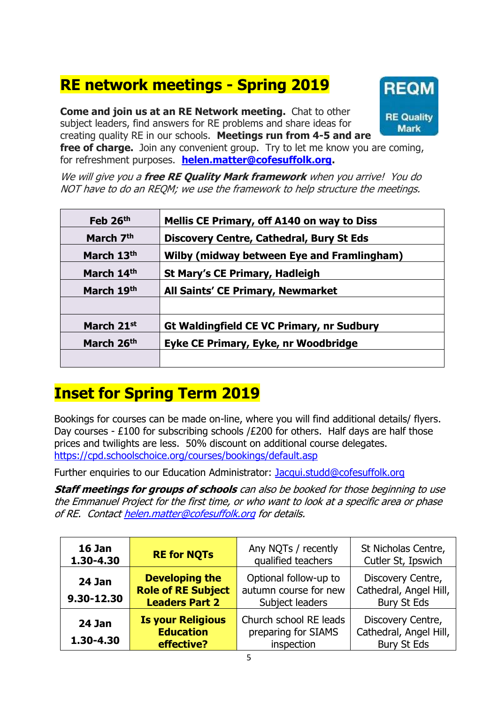# **RE network meetings - Spring 2019**

**Come and join us at an RE Network meeting.** Chat to other subject leaders, find answers for RE problems and share ideas for creating quality RE in our schools. **Meetings run from 4-5 and are** 



**free of charge.** Join any convenient group. Try to let me know you are coming, for refreshment purposes. **[helen.matter@cofesuffolk.org.](mailto:helen.matter@cofesuffolk.org)** 

We will give you a **free RE Quality Mark framework** when you arrive! You do NOT have to do an REQM; we use the framework to help structure the meetings.

| Feb 26th   | Mellis CE Primary, off A140 on way to Diss        |  |  |
|------------|---------------------------------------------------|--|--|
| March 7th  | <b>Discovery Centre, Cathedral, Bury St Eds</b>   |  |  |
| March 13th | <b>Wilby (midway between Eye and Framlingham)</b> |  |  |
| March 14th | <b>St Mary's CE Primary, Hadleigh</b>             |  |  |
| March 19th | All Saints' CE Primary, Newmarket                 |  |  |
|            |                                                   |  |  |
| March 21st | <b>Gt Waldingfield CE VC Primary, nr Sudbury</b>  |  |  |
| March 26th | Eyke CE Primary, Eyke, nr Woodbridge              |  |  |
|            |                                                   |  |  |

# **Inset for Spring Term 2019**

Bookings for courses can be made on-line, where you will find additional details/ flyers. Day courses - £100 for subscribing schools /£200 for others. Half days are half those prices and twilights are less. 50% discount on additional course delegates. <https://cpd.schoolschoice.org/courses/bookings/default.asp>

Further enquiries to our Education Administrator: [Jacqui.studd@cofesuffolk.org](mailto:Jacqui.studd@cofesuffolk.org)

**Staff meetings for groups of schools** can also be booked for those beginning to use the Emmanuel Project for the first time, or who want to look at a specific area or phase of RE. Contac[t helen.matter@cofesuffolk.org](mailto:helen.matter@cofesuffolk.org) for details.

| <b>16 Jan</b><br>1.30-4.30 | <b>RE for NQTs</b>                                                          | Any NQTs / recently<br>qualified teachers                         | St Nicholas Centre,<br>Cutler St, Ipswich                         |
|----------------------------|-----------------------------------------------------------------------------|-------------------------------------------------------------------|-------------------------------------------------------------------|
| 24 Jan<br>9.30-12.30       | <b>Developing the</b><br><b>Role of RE Subject</b><br><b>Leaders Part 2</b> | Optional follow-up to<br>autumn course for new<br>Subject leaders | Discovery Centre,<br>Cathedral, Angel Hill,<br><b>Bury St Eds</b> |
| <b>24 Jan</b><br>1.30-4.30 | <b>Is your Religious</b><br><b>Education</b><br>effective?                  | Church school RE leads<br>preparing for SIAMS<br>inspection       | Discovery Centre,<br>Cathedral, Angel Hill,<br><b>Bury St Eds</b> |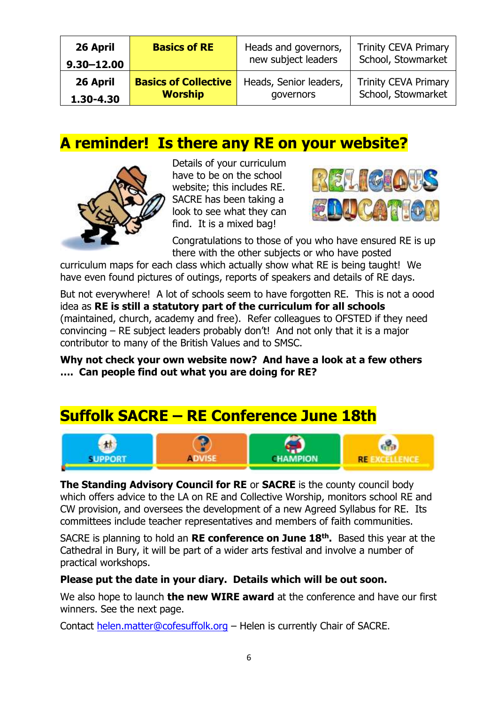| 26 April       | <b>Basics of RE</b>         | Heads and governors,   | <b>Trinity CEVA Primary</b> |
|----------------|-----------------------------|------------------------|-----------------------------|
| $9,30 - 12,00$ |                             | new subject leaders    | School, Stowmarket          |
| 26 April       | <b>Basics of Collective</b> | Heads, Senior leaders, | <b>Trinity CEVA Primary</b> |
| 1.30-4.30      | <b>Worship</b>              | governors              | School, Stowmarket          |

## **A reminder! Is there any RE on your website?**



Details of your curriculum have to be on the school website; this includes RE. SACRE has been taking a look to see what they can find. It is a mixed bag!



Congratulations to those of you who have ensured RE is up there with the other subjects or who have posted

curriculum maps for each class which actually show what RE is being taught! We have even found pictures of outings, reports of speakers and details of RE days.

But not everywhere! A lot of schools seem to have forgotten RE. This is not a oood idea as **RE is still a statutory part of the curriculum for all schools** (maintained, church, academy and free). Refer colleagues to OFSTED if they need convincing – RE subject leaders probably don't! And not only that it is a major contributor to many of the British Values and to SMSC.

**Why not check your own website now? And have a look at a few others …. Can people find out what you are doing for RE?** 

# **Suffolk SACRE – RE Conference June 18th**



**The Standing Advisory Council for RE** or **SACRE** is the county council body which offers advice to the LA on RE and Collective Worship, monitors school RE and CW provision, and oversees the development of a new Agreed Syllabus for RE. Its committees include teacher representatives and members of faith communities.

SACRE is planning to hold an **RE conference on June 18th .** Based this year at the Cathedral in Bury, it will be part of a wider arts festival and involve a number of practical workshops.

#### **Please put the date in your diary. Details which will be out soon.**

We also hope to launch **the new WIRE award** at the conference and have our first winners. See the next page.

Contact [helen.matter@cofesuffolk.org](mailto:helen.matter@cofesuffolk.org) – Helen is currently Chair of SACRE.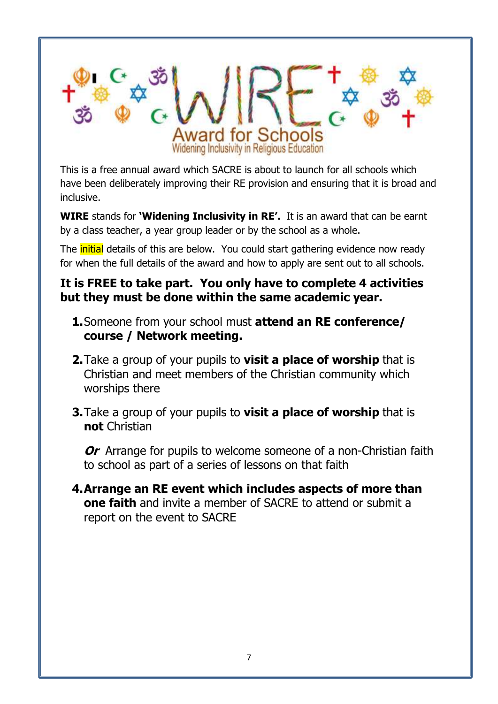

This is a free annual award which SACRE is about to launch for all schools which have been deliberately improving their RE provision and ensuring that it is broad and inclusive.

**WIRE** stands for **'Widening Inclusivity in RE'.** It is an award that can be earnt by a class teacher, a year group leader or by the school as a whole.

The **initial** details of this are below. You could start gathering evidence now ready for when the full details of the award and how to apply are sent out to all schools.

#### **It is FREE to take part. You only have to complete 4 activities but they must be done within the same academic year.**

- **1.**Someone from your school must **attend an RE conference/ course / Network meeting.**
- **2.**Take a group of your pupils to **visit a place of worship** that is Christian and meet members of the Christian community which worships there
- **3.**Take a group of your pupils to **visit a place of worship** that is **not** Christian

**Or** Arrange for pupils to welcome someone of a non-Christian faith to school as part of a series of lessons on that faith

**4.Arrange an RE event which includes aspects of more than one faith** and invite a member of SACRE to attend or submit a report on the event to SACRE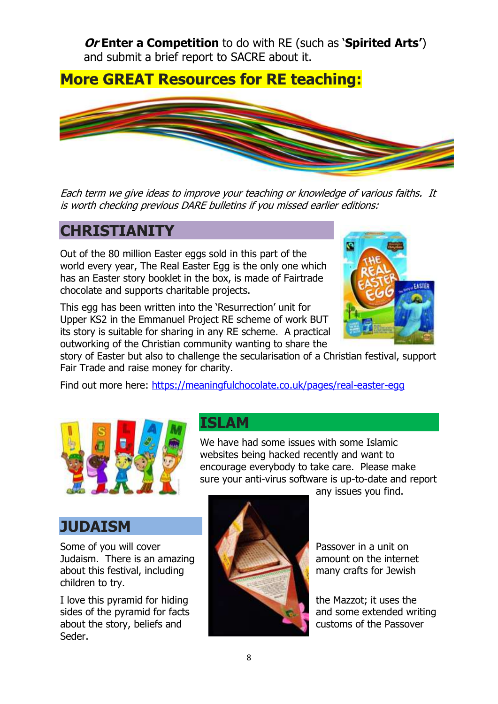**Or Enter a Competition** to do with RE (such as '**Spirited Arts'**) and submit a brief report to SACRE about it.

## **More GREAT Resources for RE teaching:**



Each term we give ideas to improve your teaching or knowledge of various faiths. It is worth checking previous DARE bulletins if you missed earlier editions:

### **CHRISTIANITY**

Out of the 80 million Easter eggs sold in this part of the world every year, The Real Easter Egg is the only one which has an Easter story booklet in the box, is made of Fairtrade chocolate and supports charitable projects.

This egg has been written into the 'Resurrection' unit for Upper KS2 in the Emmanuel Project RE scheme of work BUT its story is suitable for sharing in any RE scheme. A practical outworking of the Christian community wanting to share the



story of Easter but also to challenge the secularisation of a Christian festival, support Fair Trade and raise money for charity.

Find out more here:<https://meaningfulchocolate.co.uk/pages/real-easter-egg>



### **ISLAM**

We have had some issues with some Islamic websites being hacked recently and want to encourage everybody to take care. Please make sure your anti-virus software is up-to-date and report any issues you find.

### **JUDAISM**

Some of you will cover **Passover in a unit on** Passover in a unit on Judaism. There is an amazing **a construct on the internet** about this festival, including many crafts for Jewish children to try.

I love this pyramid for hiding the Mazzot; it uses the sides of the pyramid for facts and some extended writing about the story, beliefs and customs of the Passover Seder.